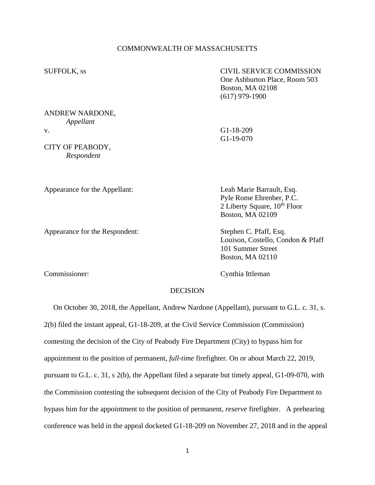# COMMONWEALTH OF MASSACHUSETTS

SUFFOLK, ss CIVIL SERVICE COMMISSION One Ashburton Place, Room 503 Boston, MA 02108 (617) 979-1900

## ANDREW NARDONE, *Appellant* v. G1-18-209

CITY OF PEABODY, *Respondent*

G1-19-070

Appearance for the Appellant: Leah Marie Barrault, Esq.

Appearance for the Respondent: Stephen C. Pfaff, Esq.

Pyle Rome Ehrenber, P.C. 2 Liberty Square,  $10^{th}$  Floor Boston, MA 02109

Louison, Costello, Condon & Pfaff 101 Summer Street Boston, MA 02110

Commissioner: Cynthia Ittleman

## DECISION

On October 30, 2018, the Appellant, Andrew Nardone (Appellant), pursuant to G.L. c. 31, s. 2(b) filed the instant appeal, G1-18-209, at the Civil Service Commission (Commission) contesting the decision of the City of Peabody Fire Department (City) to bypass him for appointment to the position of permanent, *full-time* firefighter. On or about March 22, 2019, pursuant to G.L. c. 31, s 2(b), the Appellant filed a separate but timely appeal, G1-09-070, with the Commission contesting the subsequent decision of the City of Peabody Fire Department to bypass him for the appointment to the position of permanent, *reserve* firefighter. A prehearing conference was held in the appeal docketed G1-18-209 on November 27, 2018 and in the appeal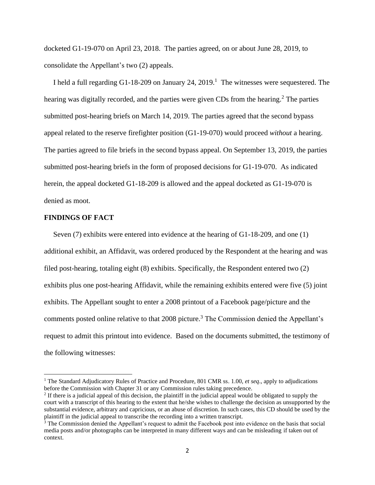docketed G1-19-070 on April 23, 2018. The parties agreed, on or about June 28, 2019, to consolidate the Appellant's two (2) appeals.

I held a full regarding G1-18-209 on January 24, 2019.<sup>1</sup> The witnesses were sequestered. The hearing was digitally recorded, and the parties were given CDs from the hearing.<sup>2</sup> The parties submitted post-hearing briefs on March 14, 2019. The parties agreed that the second bypass appeal related to the reserve firefighter position (G1-19-070) would proceed *without* a hearing. The parties agreed to file briefs in the second bypass appeal. On September 13, 2019, the parties submitted post-hearing briefs in the form of proposed decisions for G1-19-070. As indicated herein, the appeal docketed G1-18-209 is allowed and the appeal docketed as G1-19-070 is denied as moot.

## **FINDINGS OF FACT**

 Seven (7) exhibits were entered into evidence at the hearing of G1-18-209, and one (1) additional exhibit, an Affidavit, was ordered produced by the Respondent at the hearing and was filed post-hearing, totaling eight (8) exhibits. Specifically, the Respondent entered two (2) exhibits plus one post-hearing Affidavit, while the remaining exhibits entered were five (5) joint exhibits. The Appellant sought to enter a 2008 printout of a Facebook page/picture and the comments posted online relative to that 2008 picture.<sup>3</sup> The Commission denied the Appellant's request to admit this printout into evidence. Based on the documents submitted, the testimony of the following witnesses:

<sup>1</sup> The Standard Adjudicatory Rules of Practice and Procedure, 801 CMR ss. 1.00, *et seq*., apply to adjudications before the Commission with Chapter 31 or any Commission rules taking precedence.

 $<sup>2</sup>$  If there is a judicial appeal of this decision, the plaintiff in the judicial appeal would be obligated to supply the</sup> court with a transcript of this hearing to the extent that he/she wishes to challenge the decision as unsupported by the substantial evidence, arbitrary and capricious, or an abuse of discretion. In such cases, this CD should be used by the plaintiff in the judicial appeal to transcribe the recording into a written transcript.

<sup>&</sup>lt;sup>3</sup> The Commission denied the Appellant's request to admit the Facebook post into evidence on the basis that social media posts and/or photographs can be interpreted in many different ways and can be misleading if taken out of context.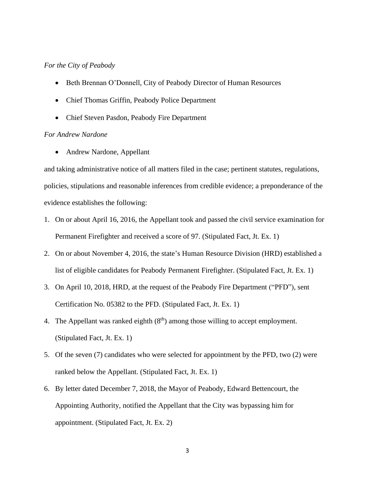# *For the City of Peabody*

- Beth Brennan O'Donnell, City of Peabody Director of Human Resources
- Chief Thomas Griffin, Peabody Police Department
- Chief Steven Pasdon, Peabody Fire Department

# *For Andrew Nardone*

• Andrew Nardone, Appellant

and taking administrative notice of all matters filed in the case; pertinent statutes, regulations, policies, stipulations and reasonable inferences from credible evidence; a preponderance of the evidence establishes the following:

- 1. On or about April 16, 2016, the Appellant took and passed the civil service examination for Permanent Firefighter and received a score of 97. (Stipulated Fact, Jt. Ex. 1)
- 2. On or about November 4, 2016, the state's Human Resource Division (HRD) established a list of eligible candidates for Peabody Permanent Firefighter. (Stipulated Fact, Jt. Ex. 1)
- 3. On April 10, 2018, HRD, at the request of the Peabody Fire Department ("PFD"), sent Certification No. 05382 to the PFD. (Stipulated Fact, Jt. Ex. 1)
- 4. The Appellant was ranked eighth  $(8<sup>th</sup>)$  among those willing to accept employment. (Stipulated Fact, Jt. Ex. 1)
- 5. Of the seven (7) candidates who were selected for appointment by the PFD, two (2) were ranked below the Appellant. (Stipulated Fact, Jt. Ex. 1)
- 6. By letter dated December 7, 2018, the Mayor of Peabody, Edward Bettencourt, the Appointing Authority, notified the Appellant that the City was bypassing him for appointment. (Stipulated Fact, Jt. Ex. 2)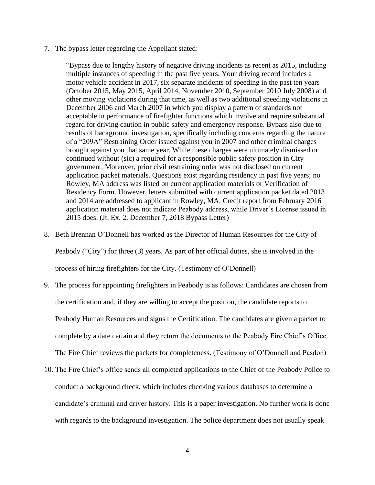7. The bypass letter regarding the Appellant stated:

"Bypass due to lengthy history of negative driving incidents as recent as 2015, including multiple instances of speeding in the past five years. Your driving record includes a motor vehicle accident in 2017, six separate incidents of speeding in the past ten years (October 2015, May 2015, April 2014, November 2010, September 2010 July 2008) and other moving violations during that time, as well as two additional speeding violations in December 2006 and March 2007 in which you display a pattern of standards not acceptable in performance of firefighter functions which involve and require substantial regard for driving caution in public safety and emergency response. Bypass also due to results of background investigation, specifically including concerns regarding the nature of a "209A" Restraining Order issued against you in 2007 and other criminal charges brought against you that same year. While these charges were ultimately dismissed or continued without (sic) a required for a responsible public safety position in City government. Moreover, prior civil restraining order was not disclosed on current application packet materials. Questions exist regarding residency in past five years; no Rowley, MA address was listed on current application materials or Verification of Residency Form. However, letters submitted with current application packet dated 2013 and 2014 are addressed to applicant in Rowley, MA. Credit report from February 2016 application material does not indicate Peabody address, while Driver's License issued in 2015 does. (Jt. Ex. 2, December 7, 2018 Bypass Letter)

8. Beth Brennan O'Donnell has worked as the Director of Human Resources for the City of

Peabody ("City") for three (3) years. As part of her official duties, she is involved in the

process of hiring firefighters for the City. (Testimony of O'Donnell)

- 9. The process for appointing firefighters in Peabody is as follows: Candidates are chosen from the certification and, if they are willing to accept the position, the candidate reports to Peabody Human Resources and signs the Certification. The candidates are given a packet to complete by a date certain and they return the documents to the Peabody Fire Chief's Office. The Fire Chief reviews the packets for completeness. (Testimony of O'Donnell and Pasdon)
- 10. The Fire Chief's office sends all completed applications to the Chief of the Peabody Police to conduct a background check, which includes checking various databases to determine a candidate's criminal and driver history. This is a paper investigation. No further work is done with regards to the background investigation. The police department does not usually speak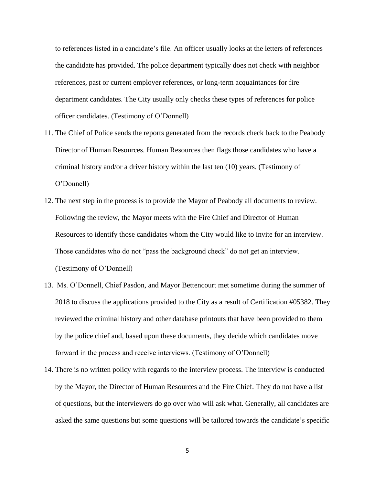to references listed in a candidate's file. An officer usually looks at the letters of references the candidate has provided. The police department typically does not check with neighbor references, past or current employer references, or long-term acquaintances for fire department candidates. The City usually only checks these types of references for police officer candidates. (Testimony of O'Donnell)

- 11. The Chief of Police sends the reports generated from the records check back to the Peabody Director of Human Resources. Human Resources then flags those candidates who have a criminal history and/or a driver history within the last ten (10) years. (Testimony of O'Donnell)
- 12. The next step in the process is to provide the Mayor of Peabody all documents to review. Following the review, the Mayor meets with the Fire Chief and Director of Human Resources to identify those candidates whom the City would like to invite for an interview. Those candidates who do not "pass the background check" do not get an interview. (Testimony of O'Donnell)
- 13. Ms. O'Donnell, Chief Pasdon, and Mayor Bettencourt met sometime during the summer of 2018 to discuss the applications provided to the City as a result of Certification #05382. They reviewed the criminal history and other database printouts that have been provided to them by the police chief and, based upon these documents, they decide which candidates move forward in the process and receive interviews. (Testimony of O'Donnell)
- 14. There is no written policy with regards to the interview process. The interview is conducted by the Mayor, the Director of Human Resources and the Fire Chief. They do not have a list of questions, but the interviewers do go over who will ask what. Generally, all candidates are asked the same questions but some questions will be tailored towards the candidate's specific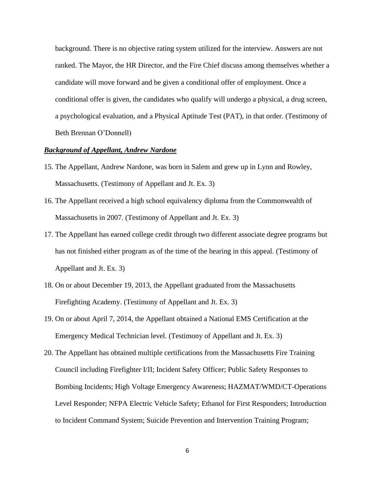background. There is no objective rating system utilized for the interview. Answers are not ranked. The Mayor, the HR Director, and the Fire Chief discuss among themselves whether a candidate will move forward and be given a conditional offer of employment. Once a conditional offer is given, the candidates who qualify will undergo a physical, a drug screen, a psychological evaluation, and a Physical Aptitude Test (PAT), in that order. (Testimony of Beth Brennan O'Donnell)

## *Background of Appellant, Andrew Nardone*

- 15. The Appellant, Andrew Nardone, was born in Salem and grew up in Lynn and Rowley, Massachusetts. (Testimony of Appellant and Jt. Ex. 3)
- 16. The Appellant received a high school equivalency diploma from the Commonwealth of Massachusetts in 2007. (Testimony of Appellant and Jt. Ex. 3)
- 17. The Appellant has earned college credit through two different associate degree programs but has not finished either program as of the time of the hearing in this appeal. (Testimony of Appellant and Jt. Ex. 3)
- 18. On or about December 19, 2013, the Appellant graduated from the Massachusetts Firefighting Academy. (Testimony of Appellant and Jt. Ex. 3)
- 19. On or about April 7, 2014, the Appellant obtained a National EMS Certification at the Emergency Medical Technician level. (Testimony of Appellant and Jt. Ex. 3)
- 20. The Appellant has obtained multiple certifications from the Massachusetts Fire Training Council including Firefighter I/II; Incident Safety Officer; Public Safety Responses to Bombing Incidents; High Voltage Emergency Awareness; HAZMAT/WMD/CT-Operations Level Responder; NFPA Electric Vehicle Safety; Ethanol for First Responders; Introduction to Incident Command System; Suicide Prevention and Intervention Training Program;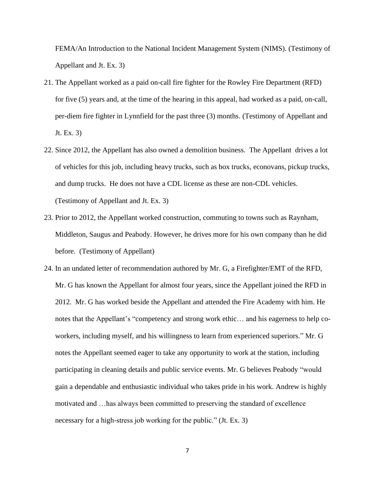FEMA/An Introduction to the National Incident Management System (NIMS). (Testimony of Appellant and Jt. Ex. 3)

- 21. The Appellant worked as a paid on-call fire fighter for the Rowley Fire Department (RFD) for five (5) years and, at the time of the hearing in this appeal, had worked as a paid, on-call, per-diem fire fighter in Lynnfield for the past three (3) months. (Testimony of Appellant and Jt. Ex. 3)
- 22. Since 2012, the Appellant has also owned a demolition business. The Appellant drives a lot of vehicles for this job, including heavy trucks, such as box trucks, econovans, pickup trucks, and dump trucks. He does not have a CDL license as these are non-CDL vehicles. (Testimony of Appellant and Jt. Ex. 3)
- 23. Prior to 2012, the Appellant worked construction, commuting to towns such as Raynham, Middleton, Saugus and Peabody. However, he drives more for his own company than he did before. (Testimony of Appellant)
- 24. In an undated letter of recommendation authored by Mr. G, a Firefighter/EMT of the RFD, Mr. G has known the Appellant for almost four years, since the Appellant joined the RFD in 2012. Mr. G has worked beside the Appellant and attended the Fire Academy with him. He notes that the Appellant's "competency and strong work ethic… and his eagerness to help coworkers, including myself, and his willingness to learn from experienced superiors." Mr. G notes the Appellant seemed eager to take any opportunity to work at the station, including participating in cleaning details and public service events. Mr. G believes Peabody "would gain a dependable and enthusiastic individual who takes pride in his work. Andrew is highly motivated and …has always been committed to preserving the standard of excellence necessary for a high-stress job working for the public." (Jt. Ex. 3)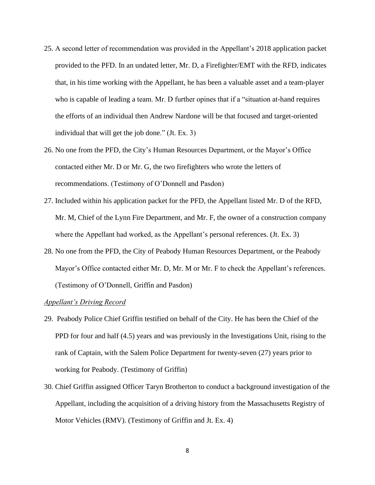- 25. A second letter of recommendation was provided in the Appellant's 2018 application packet provided to the PFD. In an undated letter, Mr. D, a Firefighter/EMT with the RFD, indicates that, in his time working with the Appellant, he has been a valuable asset and a team-player who is capable of leading a team. Mr. D further opines that if a "situation at-hand requires the efforts of an individual then Andrew Nardone will be that focused and target-oriented individual that will get the job done." (Jt. Ex. 3)
- 26. No one from the PFD, the City's Human Resources Department, or the Mayor's Office contacted either Mr. D or Mr. G, the two firefighters who wrote the letters of recommendations. (Testimony of O'Donnell and Pasdon)
- 27. Included within his application packet for the PFD, the Appellant listed Mr. D of the RFD, Mr. M, Chief of the Lynn Fire Department, and Mr. F, the owner of a construction company where the Appellant had worked, as the Appellant's personal references. (Jt. Ex. 3)
- 28. No one from the PFD, the City of Peabody Human Resources Department, or the Peabody Mayor's Office contacted either Mr. D, Mr. M or Mr. F to check the Appellant's references. (Testimony of O'Donnell, Griffin and Pasdon)

# *Appellant's Driving Record*

- 29. Peabody Police Chief Griffin testified on behalf of the City. He has been the Chief of the PPD for four and half (4.5) years and was previously in the Investigations Unit, rising to the rank of Captain, with the Salem Police Department for twenty-seven (27) years prior to working for Peabody. (Testimony of Griffin)
- 30. Chief Griffin assigned Officer Taryn Brotherton to conduct a background investigation of the Appellant, including the acquisition of a driving history from the Massachusetts Registry of Motor Vehicles (RMV). (Testimony of Griffin and Jt. Ex. 4)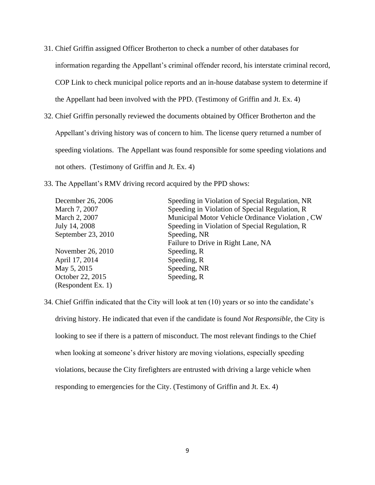- 31. Chief Griffin assigned Officer Brotherton to check a number of other databases for information regarding the Appellant's criminal offender record, his interstate criminal record, COP Link to check municipal police reports and an in-house database system to determine if the Appellant had been involved with the PPD. (Testimony of Griffin and Jt. Ex. 4)
- 32. Chief Griffin personally reviewed the documents obtained by Officer Brotherton and the Appellant's driving history was of concern to him. The license query returned a number of speeding violations. The Appellant was found responsible for some speeding violations and not others. (Testimony of Griffin and Jt. Ex. 4)
- 33. The Appellant's RMV driving record acquired by the PPD shows:

| December 26, 2006  | Speeding in Violation of Special Regulation, NR |
|--------------------|-------------------------------------------------|
| March 7, 2007      | Speeding in Violation of Special Regulation, R  |
| March 2, 2007      | Municipal Motor Vehicle Ordinance Violation, CW |
| July 14, 2008      | Speeding in Violation of Special Regulation, R  |
| September 23, 2010 | Speeding, NR                                    |
|                    | Failure to Drive in Right Lane, NA              |
| November 26, 2010  | Speeding, R                                     |
| April 17, 2014     | Speeding, R                                     |
| May 5, 2015        | Speeding, NR                                    |
| October 22, 2015   | Speeding, R                                     |
| (Respondent Ex. 1) |                                                 |

34. Chief Griffin indicated that the City will look at ten (10) years or so into the candidate's driving history. He indicated that even if the candidate is found *Not Responsible*, the City is looking to see if there is a pattern of misconduct. The most relevant findings to the Chief when looking at someone's driver history are moving violations, especially speeding violations, because the City firefighters are entrusted with driving a large vehicle when responding to emergencies for the City. (Testimony of Griffin and Jt. Ex. 4)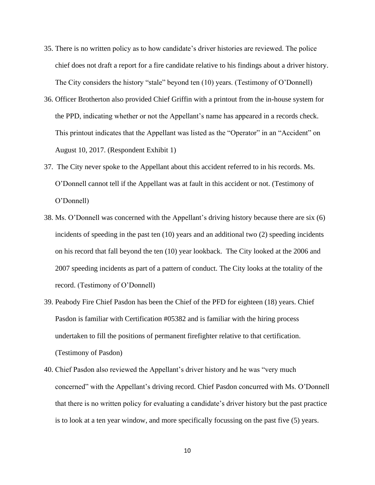- 35. There is no written policy as to how candidate's driver histories are reviewed. The police chief does not draft a report for a fire candidate relative to his findings about a driver history. The City considers the history "stale" beyond ten (10) years. (Testimony of O'Donnell)
- 36. Officer Brotherton also provided Chief Griffin with a printout from the in-house system for the PPD, indicating whether or not the Appellant's name has appeared in a records check. This printout indicates that the Appellant was listed as the "Operator" in an "Accident" on August 10, 2017. (Respondent Exhibit 1)
- 37. The City never spoke to the Appellant about this accident referred to in his records. Ms. O'Donnell cannot tell if the Appellant was at fault in this accident or not. (Testimony of O'Donnell)
- 38. Ms. O'Donnell was concerned with the Appellant's driving history because there are six (6) incidents of speeding in the past ten (10) years and an additional two (2) speeding incidents on his record that fall beyond the ten (10) year lookback. The City looked at the 2006 and 2007 speeding incidents as part of a pattern of conduct. The City looks at the totality of the record. (Testimony of O'Donnell)
- 39. Peabody Fire Chief Pasdon has been the Chief of the PFD for eighteen (18) years. Chief Pasdon is familiar with Certification #05382 and is familiar with the hiring process undertaken to fill the positions of permanent firefighter relative to that certification. (Testimony of Pasdon)
- 40. Chief Pasdon also reviewed the Appellant's driver history and he was "very much concerned" with the Appellant's driving record. Chief Pasdon concurred with Ms. O'Donnell that there is no written policy for evaluating a candidate's driver history but the past practice is to look at a ten year window, and more specifically focussing on the past five (5) years.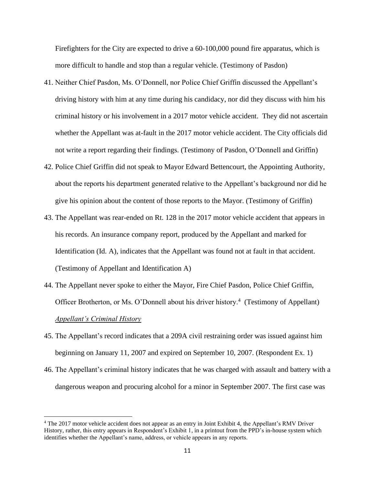Firefighters for the City are expected to drive a 60-100,000 pound fire apparatus, which is more difficult to handle and stop than a regular vehicle. (Testimony of Pasdon)

- 41. Neither Chief Pasdon, Ms. O'Donnell, nor Police Chief Griffin discussed the Appellant's driving history with him at any time during his candidacy, nor did they discuss with him his criminal history or his involvement in a 2017 motor vehicle accident. They did not ascertain whether the Appellant was at-fault in the 2017 motor vehicle accident. The City officials did not write a report regarding their findings. (Testimony of Pasdon, O'Donnell and Griffin)
- 42. Police Chief Griffin did not speak to Mayor Edward Bettencourt, the Appointing Authority, about the reports his department generated relative to the Appellant's background nor did he give his opinion about the content of those reports to the Mayor. (Testimony of Griffin)
- 43. The Appellant was rear-ended on Rt. 128 in the 2017 motor vehicle accident that appears in his records. An insurance company report, produced by the Appellant and marked for Identification (Id. A), indicates that the Appellant was found not at fault in that accident. (Testimony of Appellant and Identification A)
- 44. The Appellant never spoke to either the Mayor, Fire Chief Pasdon, Police Chief Griffin, Officer Brotherton, or Ms. O'Donnell about his driver history.<sup>4</sup> (Testimony of Appellant) *Appellant's Criminal History*
- 45. The Appellant's record indicates that a 209A civil restraining order was issued against him beginning on January 11, 2007 and expired on September 10, 2007. (Respondent Ex. 1)
- 46. The Appellant's criminal history indicates that he was charged with assault and battery with a dangerous weapon and procuring alcohol for a minor in September 2007. The first case was

<sup>4</sup> The 2017 motor vehicle accident does not appear as an entry in Joint Exhibit 4, the Appellant's RMV Driver History, rather, this entry appears in Respondent's Exhibit 1, in a printout from the PPD's in-house system which identifies whether the Appellant's name, address, or vehicle appears in any reports.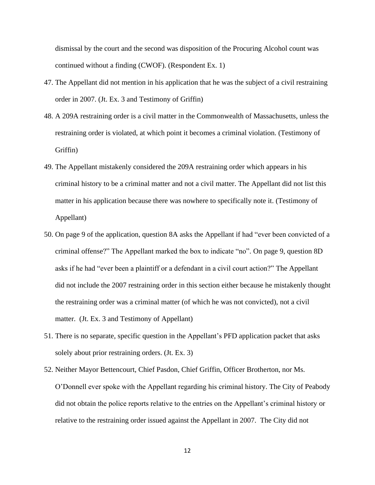dismissal by the court and the second was disposition of the Procuring Alcohol count was continued without a finding (CWOF). (Respondent Ex. 1)

- 47. The Appellant did not mention in his application that he was the subject of a civil restraining order in 2007. (Jt. Ex. 3 and Testimony of Griffin)
- 48. A 209A restraining order is a civil matter in the Commonwealth of Massachusetts, unless the restraining order is violated, at which point it becomes a criminal violation. (Testimony of Griffin)
- 49. The Appellant mistakenly considered the 209A restraining order which appears in his criminal history to be a criminal matter and not a civil matter. The Appellant did not list this matter in his application because there was nowhere to specifically note it. (Testimony of Appellant)
- 50. On page 9 of the application, question 8A asks the Appellant if had "ever been convicted of a criminal offense?" The Appellant marked the box to indicate "no". On page 9, question 8D asks if he had "ever been a plaintiff or a defendant in a civil court action?" The Appellant did not include the 2007 restraining order in this section either because he mistakenly thought the restraining order was a criminal matter (of which he was not convicted), not a civil matter. (Jt. Ex. 3 and Testimony of Appellant)
- 51. There is no separate, specific question in the Appellant's PFD application packet that asks solely about prior restraining orders. (Jt. Ex. 3)
- 52. Neither Mayor Bettencourt, Chief Pasdon, Chief Griffin, Officer Brotherton, nor Ms. O'Donnell ever spoke with the Appellant regarding his criminal history. The City of Peabody did not obtain the police reports relative to the entries on the Appellant's criminal history or relative to the restraining order issued against the Appellant in 2007. The City did not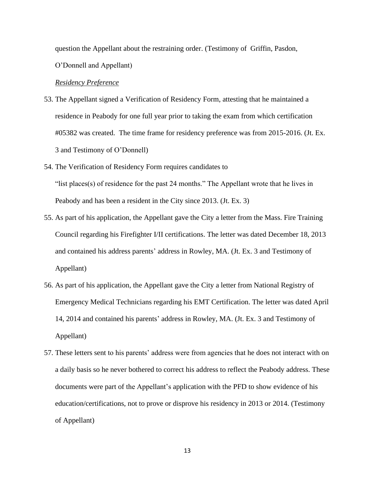question the Appellant about the restraining order. (Testimony of Griffin, Pasdon,

O'Donnell and Appellant)

#### *Residency Preference*

- 53. The Appellant signed a Verification of Residency Form, attesting that he maintained a residence in Peabody for one full year prior to taking the exam from which certification #05382 was created. The time frame for residency preference was from 2015-2016. (Jt. Ex. 3 and Testimony of O'Donnell)
- 54. The Verification of Residency Form requires candidates to "list places(s) of residence for the past 24 months." The Appellant wrote that he lives in Peabody and has been a resident in the City since 2013. (Jt. Ex. 3)
- 55. As part of his application, the Appellant gave the City a letter from the Mass. Fire Training Council regarding his Firefighter I/II certifications. The letter was dated December 18, 2013 and contained his address parents' address in Rowley, MA. (Jt. Ex. 3 and Testimony of Appellant)
- 56. As part of his application, the Appellant gave the City a letter from National Registry of Emergency Medical Technicians regarding his EMT Certification. The letter was dated April 14, 2014 and contained his parents' address in Rowley, MA. (Jt. Ex. 3 and Testimony of Appellant)
- 57. These letters sent to his parents' address were from agencies that he does not interact with on a daily basis so he never bothered to correct his address to reflect the Peabody address. These documents were part of the Appellant's application with the PFD to show evidence of his education/certifications, not to prove or disprove his residency in 2013 or 2014. (Testimony of Appellant)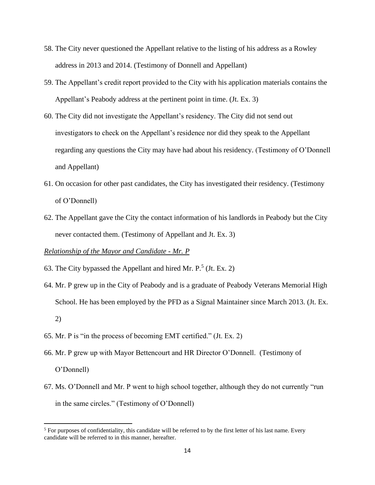- 58. The City never questioned the Appellant relative to the listing of his address as a Rowley address in 2013 and 2014. (Testimony of Donnell and Appellant)
- 59. The Appellant's credit report provided to the City with his application materials contains the Appellant's Peabody address at the pertinent point in time. (Jt. Ex. 3)
- 60. The City did not investigate the Appellant's residency. The City did not send out investigators to check on the Appellant's residence nor did they speak to the Appellant regarding any questions the City may have had about his residency. (Testimony of O'Donnell and Appellant)
- 61. On occasion for other past candidates, the City has investigated their residency. (Testimony of O'Donnell)
- 62. The Appellant gave the City the contact information of his landlords in Peabody but the City never contacted them. (Testimony of Appellant and Jt. Ex. 3)

# *Relationship of the Mayor and Candidate - Mr. P*

- 63. The City bypassed the Appellant and hired Mr.  $P^{\text{5}}$  (Jt. Ex. 2)
- 64. Mr. P grew up in the City of Peabody and is a graduate of Peabody Veterans Memorial High School. He has been employed by the PFD as a Signal Maintainer since March 2013. (Jt. Ex. 2)
- 65. Mr. P is "in the process of becoming EMT certified." (Jt. Ex. 2)
- 66. Mr. P grew up with Mayor Bettencourt and HR Director O'Donnell. (Testimony of O'Donnell)
- 67. Ms. O'Donnell and Mr. P went to high school together, although they do not currently "run in the same circles." (Testimony of O'Donnell)

<sup>&</sup>lt;sup>5</sup> For purposes of confidentiality, this candidate will be referred to by the first letter of his last name. Every candidate will be referred to in this manner, hereafter.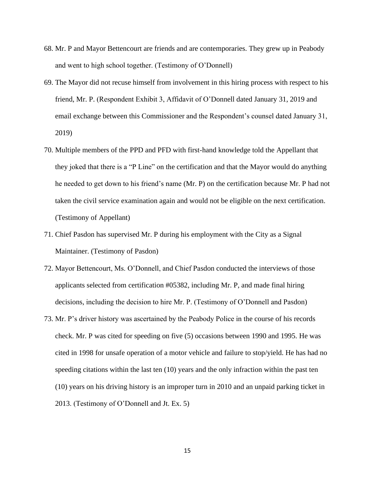- 68. Mr. P and Mayor Bettencourt are friends and are contemporaries. They grew up in Peabody and went to high school together. (Testimony of O'Donnell)
- 69. The Mayor did not recuse himself from involvement in this hiring process with respect to his friend, Mr. P. (Respondent Exhibit 3, Affidavit of O'Donnell dated January 31, 2019 and email exchange between this Commissioner and the Respondent's counsel dated January 31, 2019)
- 70. Multiple members of the PPD and PFD with first-hand knowledge told the Appellant that they joked that there is a "P Line" on the certification and that the Mayor would do anything he needed to get down to his friend's name (Mr. P) on the certification because Mr. P had not taken the civil service examination again and would not be eligible on the next certification. (Testimony of Appellant)
- 71. Chief Pasdon has supervised Mr. P during his employment with the City as a Signal Maintainer. (Testimony of Pasdon)
- 72. Mayor Bettencourt, Ms. O'Donnell, and Chief Pasdon conducted the interviews of those applicants selected from certification #05382, including Mr. P, and made final hiring decisions, including the decision to hire Mr. P. (Testimony of O'Donnell and Pasdon)
- 73. Mr. P's driver history was ascertained by the Peabody Police in the course of his records check. Mr. P was cited for speeding on five (5) occasions between 1990 and 1995. He was cited in 1998 for unsafe operation of a motor vehicle and failure to stop/yield. He has had no speeding citations within the last ten (10) years and the only infraction within the past ten (10) years on his driving history is an improper turn in 2010 and an unpaid parking ticket in 2013. (Testimony of O'Donnell and Jt. Ex. 5)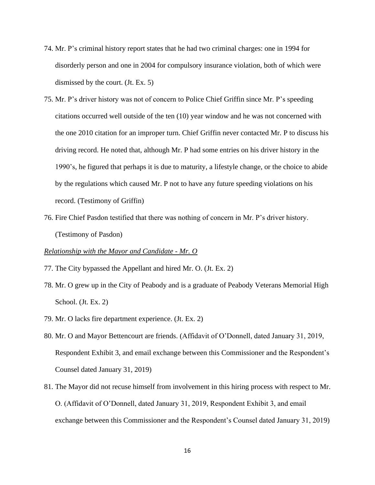- 74. Mr. P's criminal history report states that he had two criminal charges: one in 1994 for disorderly person and one in 2004 for compulsory insurance violation, both of which were dismissed by the court. (Jt. Ex. 5)
- 75. Mr. P's driver history was not of concern to Police Chief Griffin since Mr. P's speeding citations occurred well outside of the ten (10) year window and he was not concerned with the one 2010 citation for an improper turn. Chief Griffin never contacted Mr. P to discuss his driving record. He noted that, although Mr. P had some entries on his driver history in the 1990's, he figured that perhaps it is due to maturity, a lifestyle change, or the choice to abide by the regulations which caused Mr. P not to have any future speeding violations on his record. (Testimony of Griffin)
- 76. Fire Chief Pasdon testified that there was nothing of concern in Mr. P's driver history. (Testimony of Pasdon)

## *Relationship with the Mayor and Candidate - Mr. O*

- 77. The City bypassed the Appellant and hired Mr. O. (Jt. Ex. 2)
- 78. Mr. O grew up in the City of Peabody and is a graduate of Peabody Veterans Memorial High School. (Jt. Ex. 2)
- 79. Mr. O lacks fire department experience. (Jt. Ex. 2)
- 80. Mr. O and Mayor Bettencourt are friends. (Affidavit of O'Donnell, dated January 31, 2019, Respondent Exhibit 3, and email exchange between this Commissioner and the Respondent's Counsel dated January 31, 2019)
- 81. The Mayor did not recuse himself from involvement in this hiring process with respect to Mr. O. (Affidavit of O'Donnell, dated January 31, 2019, Respondent Exhibit 3, and email exchange between this Commissioner and the Respondent's Counsel dated January 31, 2019)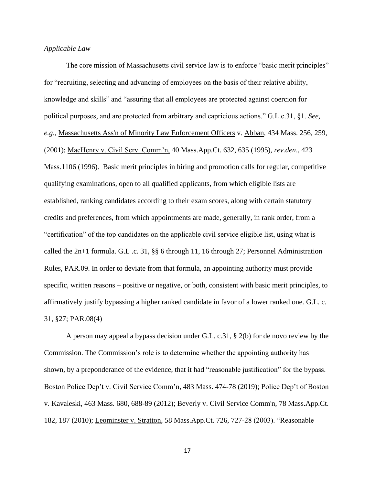# *Applicable Law*

The core mission of Massachusetts civil service law is to enforce "basic merit principles" for "recruiting, selecting and advancing of employees on the basis of their relative ability, knowledge and skills" and "assuring that all employees are protected against coercion for political purposes, and are protected from arbitrary and capricious actions." G.L.c.31, §1. *See, e.g*., Massachusetts Ass'n of Minority Law Enforcement Officers v. Abban, 434 Mass. 256, 259, (2001); MacHenry v. Civil Serv. Comm'n, 40 Mass.App.Ct. 632, 635 (1995), *rev.den*., 423 Mass.1106 (1996). Basic merit principles in hiring and promotion calls for regular, competitive qualifying examinations, open to all qualified applicants, from which eligible lists are established, ranking candidates according to their exam scores, along with certain statutory credits and preferences, from which appointments are made, generally, in rank order, from a "certification" of the top candidates on the applicable civil service eligible list, using what is called the  $2n+1$  formula. G.L .c. 31, §§ 6 through 11, 16 through 27; Personnel Administration Rules, PAR.09. In order to deviate from that formula, an appointing authority must provide specific, written reasons – positive or negative, or both, consistent with basic merit principles, to affirmatively justify bypassing a higher ranked candidate in favor of a lower ranked one. G.L. c. 31, §27; PAR.08(4)

A person may appeal a bypass decision under G.L. c.31, § 2(b) for de novo review by the Commission. The Commission's role is to determine whether the appointing authority has shown, by a preponderance of the evidence, that it had "reasonable justification" for the bypass. Boston Police Dep't v. Civil Service Comm'n, 483 Mass. 474-78 (2019); Police Dep't of Boston v. Kavaleski, 463 Mass. 680, 688-89 (2012); Beverly v. Civil Service Comm'n, 78 Mass.App.Ct. 182, 187 (2010); Leominster v. Stratton, 58 Mass.App.Ct. 726, 727-28 (2003). "Reasonable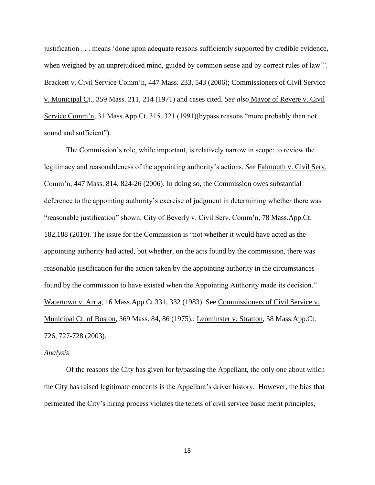justification . . . means 'done upon adequate reasons sufficiently supported by credible evidence, when weighed by an unprejudiced mind, guided by common sense and by correct rules of law'". Brackett v. Civil Service Comm'n, 447 Mass. 233, 543 (2006); Commissioners of Civil Service v. Municipal Ct., 359 Mass. 211, 214 (1971) and cases cited. *See also* Mayor of Revere v. Civil Service Comm'n, 31 Mass.App.Ct. 315, 321 (1991)(bypass reasons "more probably than not sound and sufficient").

The Commission's role, while important, is relatively narrow in scope: to review the legitimacy and reasonableness of the appointing authority's actions. *See* Falmouth v. Civil Serv. Comm'n, 447 Mass. 814, 824-26 (2006). In doing so, the Commission owes substantial deference to the appointing authority's exercise of judgment in determining whether there was "reasonable justification" shown. City of Beverly v. Civil Serv. Comm'n, 78 Mass.App.Ct. 182,188 (2010). The issue for the Commission is "not whether it would have acted as the appointing authority had acted, but whether, on the acts found by the commission, there was reasonable justification for the action taken by the appointing authority in the circumstances found by the commission to have existed when the Appointing Authority made its decision." Watertown v. Arria, 16 Mass.App.Ct.331, 332 (1983). See Commissioners of Civil Service v. Municipal Ct. of Boston, 369 Mass. 84, 86 (1975).; Leominster v. Stratton, 58 Mass.App.Ct. 726, 727-728 (2003).

#### *Analysis*

Of the reasons the City has given for bypassing the Appellant, the only one about which the City has raised legitimate concerns is the Appellant's driver history. However, the bias that permeated the City's hiring process violates the tenets of civil service basic merit principles,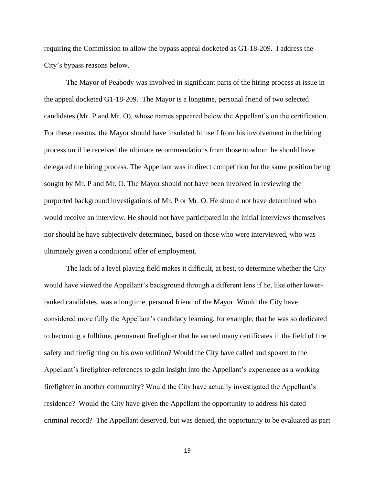requiring the Commission to allow the bypass appeal docketed as G1-18-209. I address the City's bypass reasons below.

The Mayor of Peabody was involved in significant parts of the hiring process at issue in the appeal docketed G1-18-209. The Mayor is a longtime, personal friend of two selected candidates (Mr. P and Mr. O), whose names appeared below the Appellant's on the certification. For these reasons, the Mayor should have insulated himself from his involvement in the hiring process until he received the ultimate recommendations from those to whom he should have delegated the hiring process. The Appellant was in direct competition for the same position being sought by Mr. P and Mr. O. The Mayor should not have been involved in reviewing the purported background investigations of Mr. P or Mr. O. He should not have determined who would receive an interview. He should not have participated in the initial interviews themselves nor should he have subjectively determined, based on those who were interviewed, who was ultimately given a conditional offer of employment.

The lack of a level playing field makes it difficult, at best, to determine whether the City would have viewed the Appellant's background through a different lens if he, like other lowerranked candidates, was a longtime, personal friend of the Mayor. Would the City have considered more fully the Appellant's candidacy learning, for example, that he was so dedicated to becoming a fulltime, permanent firefighter that he earned many certificates in the field of fire safety and firefighting on his own volition? Would the City have called and spoken to the Appellant's firefighter-references to gain insight into the Appellant's experience as a working firefighter in another community? Would the City have actually investigated the Appellant's residence? Would the City have given the Appellant the opportunity to address his dated criminal record? The Appellant deserved, but was denied, the opportunity to be evaluated as part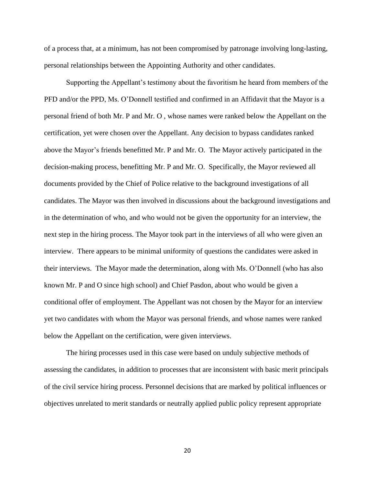of a process that, at a minimum, has not been compromised by patronage involving long-lasting, personal relationships between the Appointing Authority and other candidates.

Supporting the Appellant's testimony about the favoritism he heard from members of the PFD and/or the PPD, Ms. O'Donnell testified and confirmed in an Affidavit that the Mayor is a personal friend of both Mr. P and Mr. O , whose names were ranked below the Appellant on the certification, yet were chosen over the Appellant. Any decision to bypass candidates ranked above the Mayor's friends benefitted Mr. P and Mr. O. The Mayor actively participated in the decision-making process, benefitting Mr. P and Mr. O. Specifically, the Mayor reviewed all documents provided by the Chief of Police relative to the background investigations of all candidates. The Mayor was then involved in discussions about the background investigations and in the determination of who, and who would not be given the opportunity for an interview, the next step in the hiring process. The Mayor took part in the interviews of all who were given an interview. There appears to be minimal uniformity of questions the candidates were asked in their interviews. The Mayor made the determination, along with Ms. O'Donnell (who has also known Mr. P and O since high school) and Chief Pasdon, about who would be given a conditional offer of employment. The Appellant was not chosen by the Mayor for an interview yet two candidates with whom the Mayor was personal friends, and whose names were ranked below the Appellant on the certification, were given interviews.

The hiring processes used in this case were based on unduly subjective methods of assessing the candidates, in addition to processes that are inconsistent with basic merit principals of the civil service hiring process. Personnel decisions that are marked by political influences or objectives unrelated to merit standards or neutrally applied public policy represent appropriate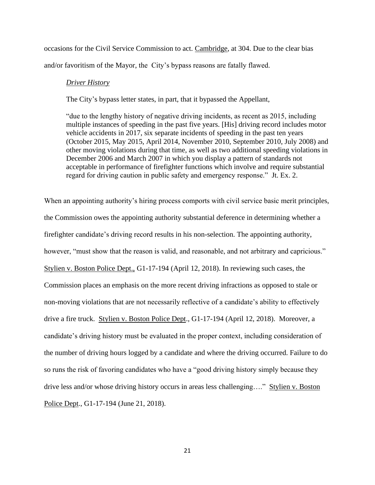occasions for the Civil Service Commission to act. Cambridge, at 304. Due to the clear bias and/or favoritism of the Mayor, the City's bypass reasons are fatally flawed.

#### *Driver History*

The City's bypass letter states, in part, that it bypassed the Appellant,

"due to the lengthy history of negative driving incidents, as recent as 2015, including multiple instances of speeding in the past five years. [His] driving record includes motor vehicle accidents in 2017, six separate incidents of speeding in the past ten years (October 2015, May 2015, April 2014, November 2010, September 2010, July 2008) and other moving violations during that time, as well as two additional speeding violations in December 2006 and March 2007 in which you display a pattern of standards not acceptable in performance of firefighter functions which involve and require substantial regard for driving caution in public safety and emergency response." Jt. Ex. 2.

When an appointing authority's hiring process comports with civil service basic merit principles, the Commission owes the appointing authority substantial deference in determining whether a firefighter candidate's driving record results in his non-selection. The appointing authority, however, "must show that the reason is valid, and reasonable, and not arbitrary and capricious." Stylien v. Boston Police Dept., G1-17-194 (April 12, 2018). In reviewing such cases, the Commission places an emphasis on the more recent driving infractions as opposed to stale or non-moving violations that are not necessarily reflective of a candidate's ability to effectively drive a fire truck. Stylien v. Boston Police Dept., G1-17-194 (April 12, 2018). Moreover, a candidate's driving history must be evaluated in the proper context, including consideration of the number of driving hours logged by a candidate and where the driving occurred. Failure to do so runs the risk of favoring candidates who have a "good driving history simply because they drive less and/or whose driving history occurs in areas less challenging…." Stylien v. Boston Police Dept., G1-17-194 (June 21, 2018).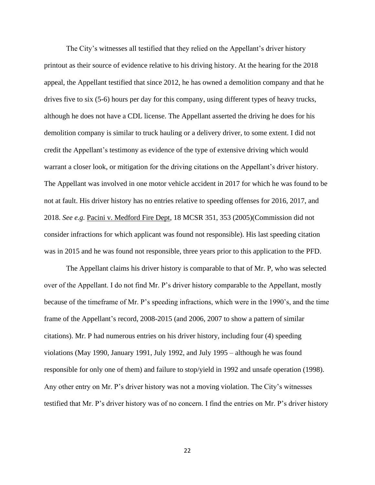The City's witnesses all testified that they relied on the Appellant's driver history printout as their source of evidence relative to his driving history. At the hearing for the 2018 appeal, the Appellant testified that since 2012, he has owned a demolition company and that he drives five to six (5-6) hours per day for this company, using different types of heavy trucks, although he does not have a CDL license. The Appellant asserted the driving he does for his demolition company is similar to truck hauling or a delivery driver, to some extent. I did not credit the Appellant's testimony as evidence of the type of extensive driving which would warrant a closer look, or mitigation for the driving citations on the Appellant's driver history. The Appellant was involved in one motor vehicle accident in 2017 for which he was found to be not at fault. His driver history has no entries relative to speeding offenses for 2016, 2017, and 2018. *See e.g.* Pacini v. Medford Fire Dept, 18 MCSR 351, 353 (2005)(Commission did not consider infractions for which applicant was found not responsible). His last speeding citation was in 2015 and he was found not responsible, three years prior to this application to the PFD.

The Appellant claims his driver history is comparable to that of Mr. P, who was selected over of the Appellant. I do not find Mr. P's driver history comparable to the Appellant, mostly because of the timeframe of Mr. P's speeding infractions, which were in the 1990's, and the time frame of the Appellant's record, 2008-2015 (and 2006, 2007 to show a pattern of similar citations). Mr. P had numerous entries on his driver history, including four (4) speeding violations (May 1990, January 1991, July 1992, and July 1995 – although he was found responsible for only one of them) and failure to stop/yield in 1992 and unsafe operation (1998). Any other entry on Mr. P's driver history was not a moving violation. The City's witnesses testified that Mr. P's driver history was of no concern. I find the entries on Mr. P's driver history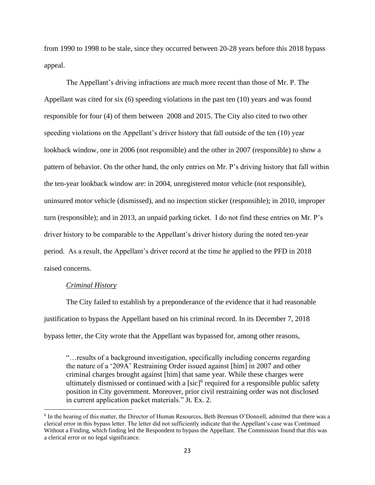from 1990 to 1998 to be stale, since they occurred between 20-28 years before this 2018 bypass appeal.

The Appellant's driving infractions are much more recent than those of Mr. P. The Appellant was cited for six (6) speeding violations in the past ten (10) years and was found responsible for four (4) of them between 2008 and 2015. The City also cited to two other speeding violations on the Appellant's driver history that fall outside of the ten (10) year lookback window, one in 2006 (not responsible) and the other in 2007 (responsible) to show a pattern of behavior. On the other hand, the only entries on Mr. P's driving history that fall within the ten-year lookback window are: in 2004, unregistered motor vehicle (not responsible), uninsured motor vehicle (dismissed), and no inspection sticker (responsible); in 2010, improper turn (responsible); and in 2013, an unpaid parking ticket. I do not find these entries on Mr. P's driver history to be comparable to the Appellant's driver history during the noted ten-year period. As a result, the Appellant's driver record at the time he applied to the PFD in 2018 raised concerns.

#### *Criminal History*

The City failed to establish by a preponderance of the evidence that it had reasonable justification to bypass the Appellant based on his criminal record. In its December 7, 2018 bypass letter, the City wrote that the Appellant was bypassed for, among other reasons,

"…results of a background investigation, specifically including concerns regarding the nature of a '209A' Restraining Order issued against [him] in 2007 and other criminal charges brought against [him] that same year. While these charges were ultimately dismissed or continued with a [sic]<sup>6</sup> required for a responsible public safety position in City government. Moreover, prior civil restraining order was not disclosed in current application packet materials." Jt. Ex. 2.

<sup>&</sup>lt;sup>6</sup> In the hearing of this matter, the Director of Human Resources, Beth Brennan O'Donnell, admitted that there was a clerical error in this bypass letter. The letter did not sufficiently indicate that the Appellant's case was Continued Without a Finding, which finding led the Respondent to bypass the Appellant. The Commission found that this was a clerical error or no legal significance.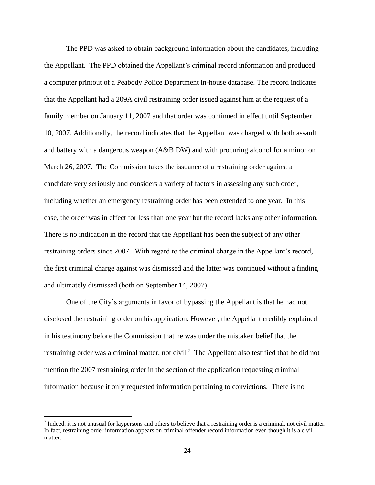The PPD was asked to obtain background information about the candidates, including the Appellant. The PPD obtained the Appellant's criminal record information and produced a computer printout of a Peabody Police Department in-house database. The record indicates that the Appellant had a 209A civil restraining order issued against him at the request of a family member on January 11, 2007 and that order was continued in effect until September 10, 2007. Additionally, the record indicates that the Appellant was charged with both assault and battery with a dangerous weapon (A&B DW) and with procuring alcohol for a minor on March 26, 2007. The Commission takes the issuance of a restraining order against a candidate very seriously and considers a variety of factors in assessing any such order, including whether an emergency restraining order has been extended to one year. In this case, the order was in effect for less than one year but the record lacks any other information. There is no indication in the record that the Appellant has been the subject of any other restraining orders since 2007. With regard to the criminal charge in the Appellant's record, the first criminal charge against was dismissed and the latter was continued without a finding and ultimately dismissed (both on September 14, 2007).

One of the City's arguments in favor of bypassing the Appellant is that he had not disclosed the restraining order on his application. However, the Appellant credibly explained in his testimony before the Commission that he was under the mistaken belief that the restraining order was a criminal matter, not civil.<sup>7</sup> The Appellant also testified that he did not mention the 2007 restraining order in the section of the application requesting criminal information because it only requested information pertaining to convictions. There is no

 $<sup>7</sup>$  Indeed, it is not unusual for laypersons and others to believe that a restraining order is a criminal, not civil matter.</sup> In fact, restraining order information appears on criminal offender record information even though it is a civil matter.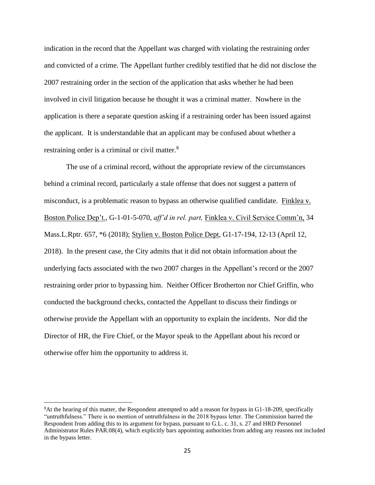indication in the record that the Appellant was charged with violating the restraining order and convicted of a crime. The Appellant further credibly testified that he did not disclose the 2007 restraining order in the section of the application that asks whether he had been involved in civil litigation because he thought it was a criminal matter. Nowhere in the application is there a separate question asking if a restraining order has been issued against the applicant. It is understandable that an applicant may be confused about whether a restraining order is a criminal or civil matter.<sup>8</sup>

The use of a criminal record, without the appropriate review of the circumstances behind a criminal record, particularly a stale offense that does not suggest a pattern of misconduct, is a problematic reason to bypass an otherwise qualified candidate. Finklea v. Boston Police Dep't.*,* G-1-01-5-070, *aff'd in rel. part,* Finklea v. Civil Service Comm'n, 34 Mass.L.Rptr. 657, \*6 (2018); Stylien v. Boston Police Dept*,* G1-17-194, 12-13 (April 12, 2018). In the present case, the City admits that it did not obtain information about the underlying facts associated with the two 2007 charges in the Appellant's record or the 2007 restraining order prior to bypassing him. Neither Officer Brotherton nor Chief Griffin, who conducted the background checks, contacted the Appellant to discuss their findings or otherwise provide the Appellant with an opportunity to explain the incidents. Nor did the Director of HR, the Fire Chief, or the Mayor speak to the Appellant about his record or otherwise offer him the opportunity to address it.

<sup>8</sup>At the hearing of this matter, the Respondent attempted to add a reason for bypass in G1-18-209, specifically "untruthfulness." There is no mention of untruthfulness in the 2018 bypass letter. The Commission barred the Respondent from adding this to its argument for bypass, pursuant to G.L. c. 31, s. 27 and HRD Personnel Administrator Rules PAR.08(4), which explicitly bars appointing authorities from adding any reasons not included in the bypass letter.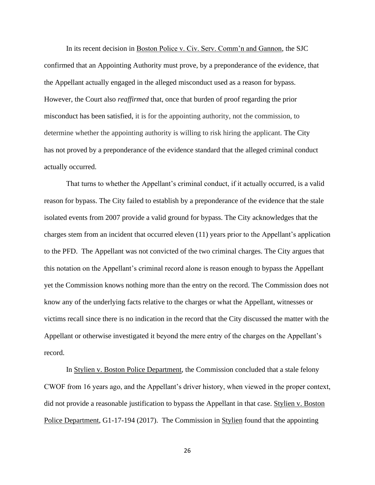In its recent decision in Boston Police v. Civ. Serv. Comm'n and Gannon, the SJC confirmed that an Appointing Authority must prove, by a preponderance of the evidence*,* that the Appellant actually engaged in the alleged misconduct used as a reason for bypass. However, the Court also *reaffirmed* that, once that burden of proof regarding the prior misconduct has been satisfied, it is for the appointing authority, not the commission, to determine whether the appointing authority is willing to risk hiring the applicant. The City has not proved by a preponderance of the evidence standard that the alleged criminal conduct actually occurred.

That turns to whether the Appellant's criminal conduct, if it actually occurred, is a valid reason for bypass. The City failed to establish by a preponderance of the evidence that the stale isolated events from 2007 provide a valid ground for bypass. The City acknowledges that the charges stem from an incident that occurred eleven (11) years prior to the Appellant's application to the PFD. The Appellant was not convicted of the two criminal charges. The City argues that this notation on the Appellant's criminal record alone is reason enough to bypass the Appellant yet the Commission knows nothing more than the entry on the record. The Commission does not know any of the underlying facts relative to the charges or what the Appellant, witnesses or victims recall since there is no indication in the record that the City discussed the matter with the Appellant or otherwise investigated it beyond the mere entry of the charges on the Appellant's record.

In Stylien v. Boston Police Department, the Commission concluded that a stale felony CWOF from 16 years ago, and the Appellant's driver history, when viewed in the proper context, did not provide a reasonable justification to bypass the Appellant in that case. Stylien v. Boston Police Department, G1-17-194 (2017). The Commission in Stylien found that the appointing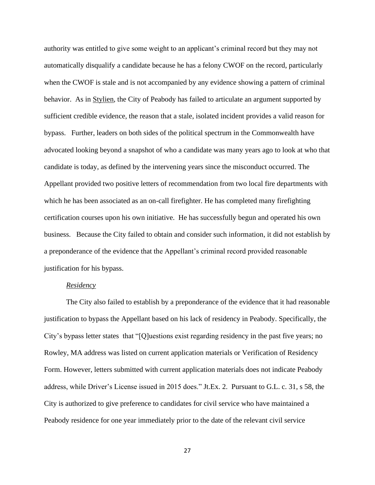authority was entitled to give some weight to an applicant's criminal record but they may not automatically disqualify a candidate because he has a felony CWOF on the record, particularly when the CWOF is stale and is not accompanied by any evidence showing a pattern of criminal behavior. As in Stylien, the City of Peabody has failed to articulate an argument supported by sufficient credible evidence, the reason that a stale, isolated incident provides a valid reason for bypass. Further, leaders on both sides of the political spectrum in the Commonwealth have advocated looking beyond a snapshot of who a candidate was many years ago to look at who that candidate is today, as defined by the intervening years since the misconduct occurred. The Appellant provided two positive letters of recommendation from two local fire departments with which he has been associated as an on-call firefighter. He has completed many firefighting certification courses upon his own initiative. He has successfully begun and operated his own business. Because the City failed to obtain and consider such information, it did not establish by a preponderance of the evidence that the Appellant's criminal record provided reasonable justification for his bypass.

# *Residency*

The City also failed to establish by a preponderance of the evidence that it had reasonable justification to bypass the Appellant based on his lack of residency in Peabody. Specifically, the City's bypass letter states that "[Q]uestions exist regarding residency in the past five years; no Rowley, MA address was listed on current application materials or Verification of Residency Form. However, letters submitted with current application materials does not indicate Peabody address, while Driver's License issued in 2015 does." Jt.Ex. 2. Pursuant to G.L. c. 31, s 58, the City is authorized to give preference to candidates for civil service who have maintained a Peabody residence for one year immediately prior to the date of the relevant civil service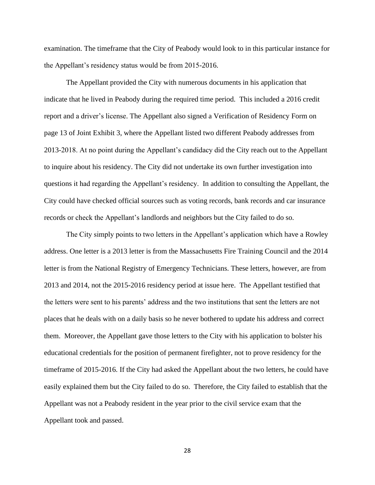examination. The timeframe that the City of Peabody would look to in this particular instance for the Appellant's residency status would be from 2015-2016.

The Appellant provided the City with numerous documents in his application that indicate that he lived in Peabody during the required time period. This included a 2016 credit report and a driver's license. The Appellant also signed a Verification of Residency Form on page 13 of Joint Exhibit 3, where the Appellant listed two different Peabody addresses from 2013-2018. At no point during the Appellant's candidacy did the City reach out to the Appellant to inquire about his residency. The City did not undertake its own further investigation into questions it had regarding the Appellant's residency. In addition to consulting the Appellant, the City could have checked official sources such as voting records, bank records and car insurance records or check the Appellant's landlords and neighbors but the City failed to do so.

The City simply points to two letters in the Appellant's application which have a Rowley address. One letter is a 2013 letter is from the Massachusetts Fire Training Council and the 2014 letter is from the National Registry of Emergency Technicians. These letters, however, are from 2013 and 2014, not the 2015-2016 residency period at issue here. The Appellant testified that the letters were sent to his parents' address and the two institutions that sent the letters are not places that he deals with on a daily basis so he never bothered to update his address and correct them. Moreover, the Appellant gave those letters to the City with his application to bolster his educational credentials for the position of permanent firefighter, not to prove residency for the timeframe of 2015-2016. If the City had asked the Appellant about the two letters, he could have easily explained them but the City failed to do so. Therefore, the City failed to establish that the Appellant was not a Peabody resident in the year prior to the civil service exam that the Appellant took and passed.